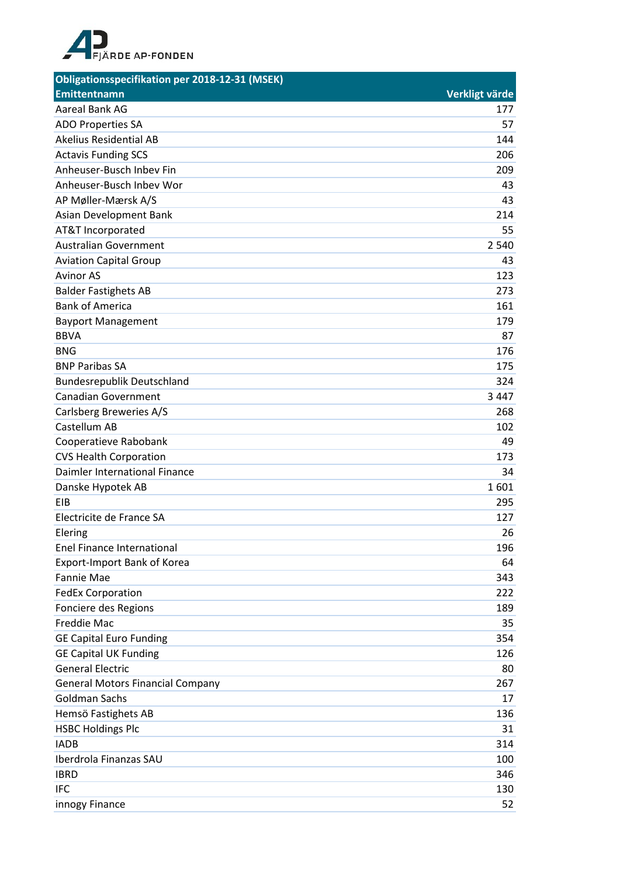

| Obligationsspecifikation per 2018-12-31 (MSEK) |                |
|------------------------------------------------|----------------|
| Emittentnamn                                   | Verkligt värde |
| Aareal Bank AG                                 | 177            |
| <b>ADO Properties SA</b>                       | 57             |
| <b>Akelius Residential AB</b>                  | 144            |
| <b>Actavis Funding SCS</b>                     | 206            |
| Anheuser-Busch Inbev Fin                       | 209            |
| Anheuser-Busch Inbey Wor                       | 43             |
| AP Møller-Mærsk A/S                            | 43             |
| Asian Development Bank                         | 214            |
| AT&T Incorporated                              | 55             |
| <b>Australian Government</b>                   | 2 5 4 0        |
| <b>Aviation Capital Group</b>                  | 43             |
| <b>Avinor AS</b>                               | 123            |
| <b>Balder Fastighets AB</b>                    | 273            |
| <b>Bank of America</b>                         | 161            |
| <b>Bayport Management</b>                      | 179            |
| <b>BBVA</b>                                    | 87             |
| <b>BNG</b>                                     | 176            |
| <b>BNP Paribas SA</b>                          | 175            |
| <b>Bundesrepublik Deutschland</b>              | 324            |
| <b>Canadian Government</b>                     | 3 4 4 7        |
| Carlsberg Breweries A/S                        | 268            |
| Castellum AB                                   | 102            |
| Cooperatieve Rabobank                          | 49             |
| <b>CVS Health Corporation</b>                  | 173            |
| Daimler International Finance                  | 34             |
| Danske Hypotek AB                              | 1601           |
| <b>EIB</b>                                     | 295            |
| Electricite de France SA                       | 127            |
| Elering                                        | 26             |
| <b>Enel Finance International</b>              | 196            |
| Export-Import Bank of Korea                    | 64             |
| <b>Fannie Mae</b>                              | 343            |
| <b>FedEx Corporation</b>                       | 222            |
| Fonciere des Regions                           | 189            |
| <b>Freddie Mac</b>                             | 35             |
| <b>GE Capital Euro Funding</b>                 | 354            |
| <b>GE Capital UK Funding</b>                   | 126            |
| <b>General Electric</b>                        | 80             |
| <b>General Motors Financial Company</b>        | 267            |
| <b>Goldman Sachs</b>                           | 17             |
| Hemsö Fastighets AB                            | 136            |
| <b>HSBC Holdings Plc</b>                       | 31             |
| <b>IADB</b>                                    | 314            |
| Iberdrola Finanzas SAU                         | 100            |
| <b>IBRD</b>                                    | 346            |
| <b>IFC</b>                                     | 130            |
| innogy Finance                                 | 52             |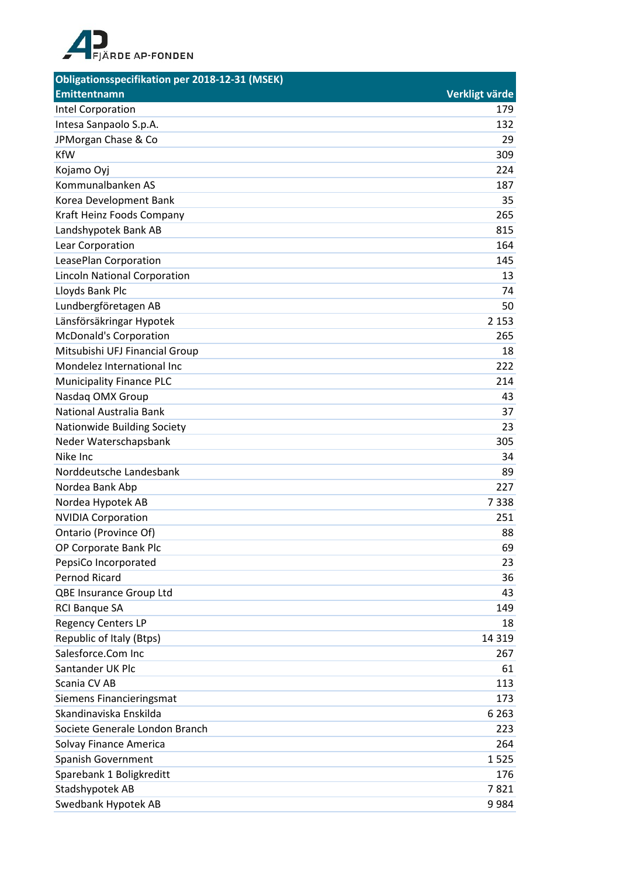

| Obligationsspecifikation per 2018-12-31 (MSEK) |                |
|------------------------------------------------|----------------|
| <b>Emittentnamn</b>                            | Verkligt värde |
| <b>Intel Corporation</b>                       | 179            |
| Intesa Sanpaolo S.p.A.                         | 132            |
| JPMorgan Chase & Co                            | 29             |
| <b>KfW</b>                                     | 309            |
| Kojamo Oyj                                     | 224            |
| Kommunalbanken AS                              | 187            |
| Korea Development Bank                         | 35             |
| Kraft Heinz Foods Company                      | 265            |
| Landshypotek Bank AB                           | 815            |
| Lear Corporation                               | 164            |
| LeasePlan Corporation                          | 145            |
| <b>Lincoln National Corporation</b>            | 13             |
| Lloyds Bank Plc                                | 74             |
| Lundbergföretagen AB                           | 50             |
| Länsförsäkringar Hypotek                       | 2 1 5 3        |
| <b>McDonald's Corporation</b>                  | 265            |
| Mitsubishi UFJ Financial Group                 | 18             |
| Mondelez International Inc                     | 222            |
| <b>Municipality Finance PLC</b>                | 214            |
| Nasdaq OMX Group                               | 43             |
| National Australia Bank                        | 37             |
| Nationwide Building Society                    | 23             |
| Neder Waterschapsbank                          | 305            |
| Nike Inc                                       | 34             |
| Norddeutsche Landesbank                        | 89             |
| Nordea Bank Abp                                | 227            |
| Nordea Hypotek AB                              | 7338           |
| <b>NVIDIA Corporation</b>                      | 251            |
| Ontario (Province Of)                          | 88             |
| OP Corporate Bank Plc                          | 69             |
| PepsiCo Incorporated                           | 23             |
| <b>Pernod Ricard</b>                           | 36             |
| QBE Insurance Group Ltd                        | 43             |
| <b>RCI Banque SA</b>                           | 149            |
| <b>Regency Centers LP</b>                      | 18             |
| Republic of Italy (Btps)                       | 14 3 19        |
| Salesforce.Com Inc                             | 267            |
| Santander UK Plc                               | 61             |
| Scania CV AB                                   | 113            |
| Siemens Financieringsmat                       | 173            |
| Skandinaviska Enskilda                         | 6 2 6 3        |
| Societe Generale London Branch                 | 223            |
| Solvay Finance America                         | 264            |
| Spanish Government                             | 1525           |
| Sparebank 1 Boligkreditt                       | 176            |
| Stadshypotek AB                                | 7821           |
| Swedbank Hypotek AB                            | 9984           |